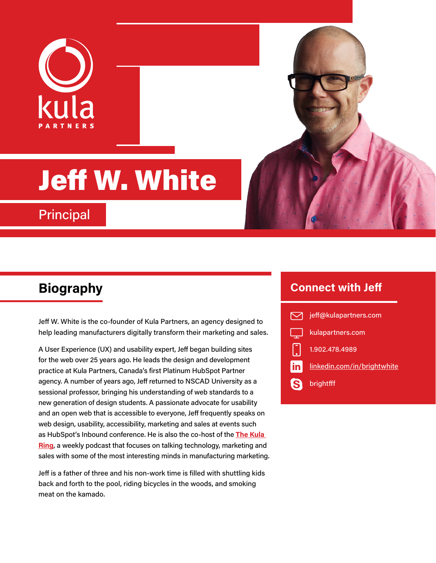

# Jeff W. White

**Principal** 

Jeff W. White is the co-founder of Kula Partners, an agency designed to help leading manufacturers digitally transform their marketing and sales.

A User Experience (UX) and usability expert, Jeff began building sites for the web over 25 years ago. He leads the design and development practice at Kula Partners, Canada's first Platinum HubSpot Partner agency. A number of years ago, Jeff returned to NSCAD University as a sessional professor, bringing his understanding of web standards to a new generation of design students. A passionate advocate for usability and an open web that is accessible to everyone, Jeff frequently speaks on web design, usability, accessibility, marketing and sales at events such as HubSpot's Inbound conference. He is also the co-host of the **[The Kula](https://kulapartners.com/thekularing/)  [Ring](https://kulapartners.com/thekularing/)**, a weekly podcast that focuses on talking technology, marketing and sales with some of the most interesting minds in manufacturing marketing.

Jeff is a father of three and his non-work time is filled with shuttling kids back and forth to the pool, riding bicycles in the woods, and smoking meat on the kamado.

## **Biography Connect with Jeff**